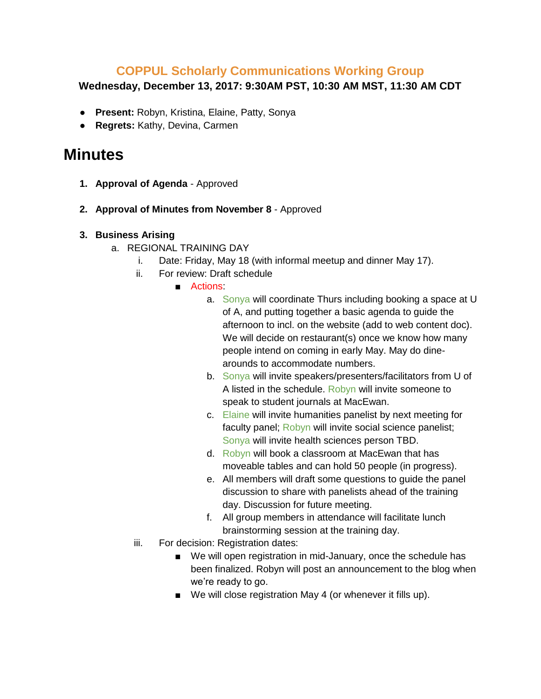## **COPPUL Scholarly Communications Working Group**

**Wednesday, December 13, 2017: 9:30AM PST, 10:30 AM MST, 11:30 AM CDT**

- **Present:** Robyn, Kristina, Elaine, Patty, Sonya
- **Regrets:** Kathy, Devina, Carmen

## **Minutes**

- **1. Approval of Agenda** Approved
- **2. Approval of Minutes from November 8**  Approved
- **3. Business Arising**
	- a. REGIONAL TRAINING DAY
		- i. Date: Friday, May 18 (with informal meetup and dinner May 17).
		- ii. For review: Draft schedule
			- Actions:
				- a. Sonya will coordinate Thurs including booking a space at U of A, and putting together a basic agenda to guide the afternoon to incl. on the website (add to web content doc). We will decide on restaurant(s) once we know how many people intend on coming in early May. May do dinearounds to accommodate numbers.
				- b. Sonya will invite speakers/presenters/facilitators from U of A listed in the schedule. Robyn will invite someone to speak to student journals at MacEwan.
				- c. Elaine will invite humanities panelist by next meeting for faculty panel; Robyn will invite social science panelist; Sonya will invite health sciences person TBD.
				- d. Robyn will book a classroom at MacEwan that has moveable tables and can hold 50 people (in progress).
				- e. All members will draft some questions to guide the panel discussion to share with panelists ahead of the training day. Discussion for future meeting.
				- f. All group members in attendance will facilitate lunch brainstorming session at the training day.
		- iii. For decision: Registration dates:
			- We will open registration in mid-January, once the schedule has been finalized. Robyn will post an announcement to the blog when we're ready to go.
			- We will close registration May 4 (or whenever it fills up).